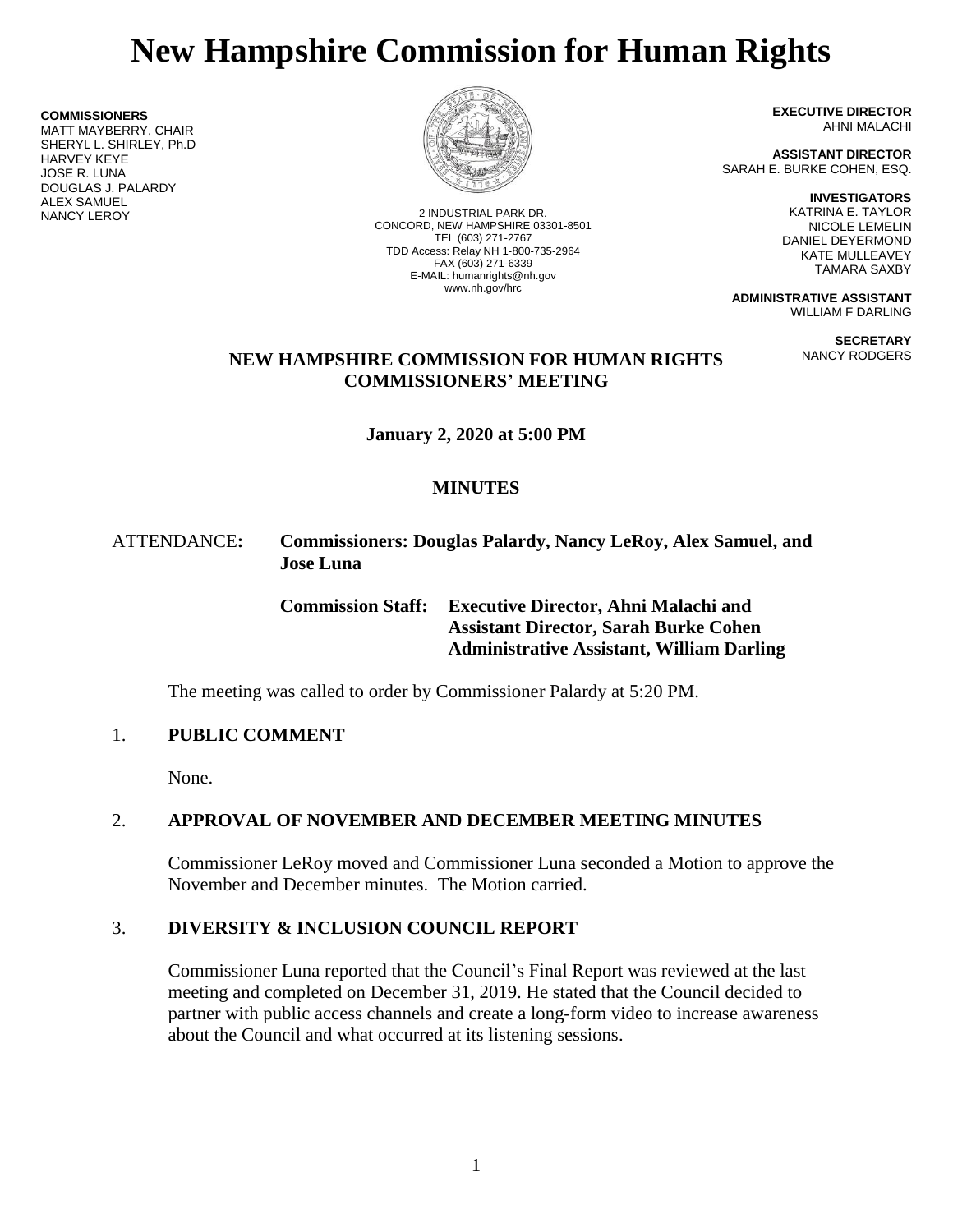# **New Hampshire Commission for Human Rights**

**COMMISSIONERS** MATT MAYBERRY, CHAIR SHERYL L. SHIRLEY, Ph.D HARVEY KEYE JOSE R. LUNA DOUGLAS J. PALARDY **ALEX SAMUEL<br>NANCY LEROY** 



2 INDUSTRIAL PARK DR. CONCORD, NEW HAMPSHIRE 03301-8501 TEL (603) 271-2767 TDD Access: Relay NH 1-800-735-2964 FAX (603) 271-6339 E-MAIL: humanrights@nh.gov www.nh.gov/hrc

**EXECUTIVE DIRECTOR** AHNI MALACHI

**ASSISTANT DIRECTOR** SARAH E. BURKE COHEN, ESQ.

> **INVESTIGATORS** KATRINA E. TAYLOR NICOLE LEMELIN DANIEL DEYERMOND KATE MULLEAVEY TAMARA SAXBY

**ADMINISTRATIVE ASSISTANT** WILLIAM F DARLING

> **SECRETARY** NANCY RODGERS

## **NEW HAMPSHIRE COMMISSION FOR HUMAN RIGHTS COMMISSIONERS' MEETING**

**January 2, 2020 at 5:00 PM**

# **MINUTES**

## ATTENDANCE**: Commissioners: Douglas Palardy, Nancy LeRoy, Alex Samuel, and Jose Luna**

**Commission Staff: Executive Director, Ahni Malachi and Assistant Director, Sarah Burke Cohen Administrative Assistant, William Darling**

The meeting was called to order by Commissioner Palardy at 5:20 PM.

## 1. **PUBLIC COMMENT**

None.

# 2. **APPROVAL OF NOVEMBER AND DECEMBER MEETING MINUTES**

Commissioner LeRoy moved and Commissioner Luna seconded a Motion to approve the November and December minutes. The Motion carried.

# 3. **DIVERSITY & INCLUSION COUNCIL REPORT**

Commissioner Luna reported that the Council's Final Report was reviewed at the last meeting and completed on December 31, 2019. He stated that the Council decided to partner with public access channels and create a long-form video to increase awareness about the Council and what occurred at its listening sessions.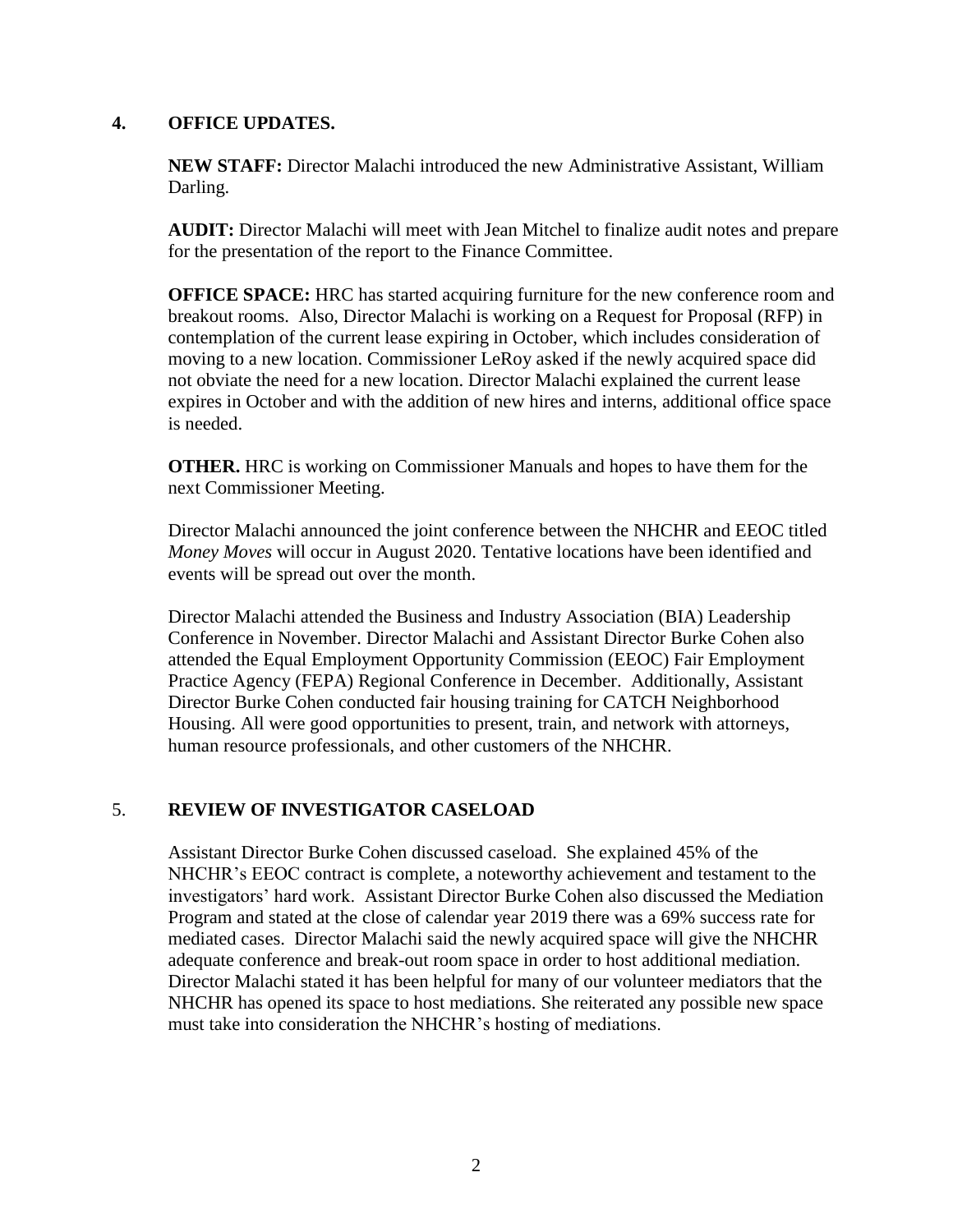#### **4. OFFICE UPDATES.**

**NEW STAFF:** Director Malachi introduced the new Administrative Assistant, William Darling.

**AUDIT:** Director Malachi will meet with Jean Mitchel to finalize audit notes and prepare for the presentation of the report to the Finance Committee.

**OFFICE SPACE:** HRC has started acquiring furniture for the new conference room and breakout rooms. Also, Director Malachi is working on a Request for Proposal (RFP) in contemplation of the current lease expiring in October, which includes consideration of moving to a new location. Commissioner LeRoy asked if the newly acquired space did not obviate the need for a new location. Director Malachi explained the current lease expires in October and with the addition of new hires and interns, additional office space is needed.

**OTHER.** HRC is working on Commissioner Manuals and hopes to have them for the next Commissioner Meeting.

Director Malachi announced the joint conference between the NHCHR and EEOC titled *Money Moves* will occur in August 2020. Tentative locations have been identified and events will be spread out over the month.

Director Malachi attended the Business and Industry Association (BIA) Leadership Conference in November. Director Malachi and Assistant Director Burke Cohen also attended the Equal Employment Opportunity Commission (EEOC) Fair Employment Practice Agency (FEPA) Regional Conference in December. Additionally, Assistant Director Burke Cohen conducted fair housing training for CATCH Neighborhood Housing. All were good opportunities to present, train, and network with attorneys, human resource professionals, and other customers of the NHCHR.

## 5. **REVIEW OF INVESTIGATOR CASELOAD**

Assistant Director Burke Cohen discussed caseload. She explained 45% of the NHCHR's EEOC contract is complete, a noteworthy achievement and testament to the investigators' hard work. Assistant Director Burke Cohen also discussed the Mediation Program and stated at the close of calendar year 2019 there was a 69% success rate for mediated cases. Director Malachi said the newly acquired space will give the NHCHR adequate conference and break-out room space in order to host additional mediation. Director Malachi stated it has been helpful for many of our volunteer mediators that the NHCHR has opened its space to host mediations. She reiterated any possible new space must take into consideration the NHCHR's hosting of mediations.